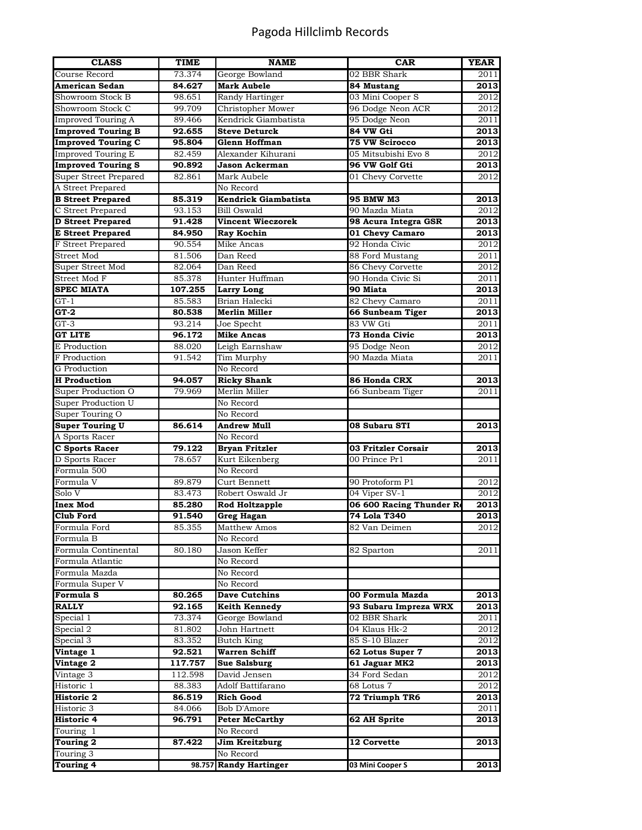## Pagoda Hillclimb Records

| <b>CLASS</b>              | TIME    | <b>NAME</b>            | <b>CAR</b>              | <b>YEAR</b>       |
|---------------------------|---------|------------------------|-------------------------|-------------------|
| Course Record             | 73.374  | George Bowland         | 02 BBR Shark            | 2011              |
| <b>American Sedan</b>     | 84.627  | <b>Mark Aubele</b>     | 84 Mustang              | 2013              |
| Showroom Stock B          | 98.651  | Randy Hartinger        | 03 Mini Cooper S        | 2012              |
| Showroom Stock C          | 99.709  | Christopher Mower      | 96 Dodge Neon ACR       | 2012              |
| <b>Improved Touring A</b> | 89.466  | Kendrick Giambatista   | 95 Dodge Neon           | 2011              |
| <b>Improved Touring B</b> | 92.655  | <b>Steve Deturck</b>   | 84 VW Gti               | 2013              |
| <b>Improved Touring C</b> | 95.804  | Glenn Hoffman          | <b>75 VW Scirocco</b>   | 2013              |
| <b>Improved Touring E</b> | 82.459  | Alexander Kihurani     | 05 Mitsubishi Evo 8     | 2012              |
| <b>Improved Touring S</b> | 90.892  | Jason Ackerman         | 96 VW Golf Gti          | 2013              |
| Super Street Prepared     | 82.861  | Mark Aubele            | 01 Chevy Corvette       | 2012              |
| A Street Prepared         |         | No Record              |                         |                   |
| <b>B</b> Street Prepared  | 85.319  | Kendrick Giambatista   | <b>95 BMW M3</b>        | 2013              |
| C Street Prepared         | 93.153  | Bill Oswald            | 90 Mazda Miata          | 2012              |
| <b>D</b> Street Prepared  | 91.428  | Vincent Wieczorek      | 98 Acura Integra GSR    | 2013              |
| <b>E</b> Street Prepared  | 84.950  | <b>Ray Kochin</b>      | 01 Chevy Camaro         | 2013              |
| F Street Prepared         | 90.554  | Mike Ancas             | 92 Honda Civic          | 2012              |
| Street Mod                | 81.506  | Dan Reed               | 88 Ford Mustang         | 2011              |
| Super Street Mod          | 82.064  | Dan Reed               | 86 Chevy Corvette       | 2012              |
| Street Mod F              | 85.378  | Hunter Huffman         | 90 Honda Civic Si       | 2011              |
| <b>SPEC MIATA</b>         | 107.255 | <b>Larry Long</b>      | 90 Miata                | 2013              |
| $GT-1$                    | 85.583  | Brian Halecki          | 82 Chevy Camaro         | 2011              |
| $GT-2$                    | 80.538  | Merlin Miller          | 66 Sunbeam Tiger        | 2013              |
| $GT-3$                    | 93.214  | Joe Specht             | 83 VW Gti               | 2011              |
| <b>GT LITE</b>            | 96.172  | <b>Mike Ancas</b>      | 73 Honda Civic          | 2013              |
| E Production              | 88.020  | Leigh Earnshaw         | 95 Dodge Neon           | 2012              |
| F Production              | 91.542  | Tim Murphy             | 90 Mazda Miata          | 2011              |
| G Production              |         | No Record              |                         |                   |
| <b>H</b> Production       | 94.057  | <b>Ricky Shank</b>     | 86 Honda CRX            | 2013              |
| Super Production O        | 79.969  | Merlin Miller          | 66 Sunbeam Tiger        | 2011              |
| Super Production U        |         | No Record              |                         |                   |
| Super Touring O           |         | No Record              |                         |                   |
| <b>Super Touring U</b>    | 86.614  | Andrew Mull            | 08 Subaru STI           | 2013              |
| A Sports Racer            |         | No Record              |                         |                   |
| <b>C</b> Sports Racer     | 79.122  | <b>Bryan Fritzler</b>  | 03 Fritzler Corsair     | 2013              |
| D Sports Racer            | 78.657  | Kurt Eikenberg         | 00 Prince Pr1           | 2011              |
| Formula 500               |         | No Record              |                         |                   |
| Formula V                 | 89.879  | Curt Bennett           | 90 Protoform P1         | 2012              |
| Solo V                    | 83.473  | Robert Oswald Jr       | 04 Viper SV-1           | $\overline{2012}$ |
| <b>Inex Mod</b>           | 85.280  | <b>Rod Holtzapple</b>  | 06 600 Racing Thunder R | 2013              |
| <b>Club Ford</b>          | 91.540  | <b>Greg Hagan</b>      | 74 Lola T340            | 2013              |
| Formula Ford              | 85.355  | Matthew Amos           | 82 Van Deimen           | 2012              |
| Formula B                 |         | No Record              |                         |                   |
| Formula Continental       | 80.180  | Jason Keffer           | 82 Sparton              | 2011              |
| Formula Atlantic          |         | No Record              |                         |                   |
| Formula Mazda             |         | No Record              |                         |                   |
| Formula Super V           |         | No Record              |                         |                   |
| Formula S                 | 80.265  | <b>Dave Cutchins</b>   | 00 Formula Mazda        | 2013              |
| <b>RALLY</b>              | 92.165  | <b>Keith Kennedy</b>   | 93 Subaru Impreza WRX   | 2013              |
| Special 1                 | 73.374  | George Bowland         | 02 BBR Shark            | 2011              |
| Special $2$               | 81.802  | John Hartnett          | 04 Klaus Hk-2           | 2012              |
| Special 3                 | 83.352  | Butch King             | 85 S-10 Blazer          | 2012              |
| Vintage 1                 | 92.521  | Warren Schiff          | 62 Lotus Super 7        | 2013              |
| Vintage 2                 | 117.757 | Sue Salsburg           | 61 Jaguar MK2           | 2013              |
| Vintage 3                 | 112.598 | David Jensen           | 34 Ford Sedan           | 2012              |
| Historic 1                | 88.383  | Adolf Battifarano      | 68 Lotus 7              | 2012              |
| <b>Historic 2</b>         | 86.519  | <b>Rich Good</b>       | 72 Triumph TR6          | 2013              |
| Historic 3                | 84.066  | Bob D'Amore            |                         | 2011              |
| <b>Historic 4</b>         | 96.791  | <b>Peter McCarthy</b>  | 62 AH Sprite            | 2013              |
| Touring 1                 |         | No Record              |                         |                   |
| Touring 2                 | 87.422  | Jim Kreitzburg         | <b>12 Corvette</b>      | 2013              |
| Touring 3                 |         | No Record              |                         |                   |
| <b>Touring 4</b>          |         | 98.757 Randy Hartinger | 03 Mini Cooper S        | 2013              |
|                           |         |                        |                         |                   |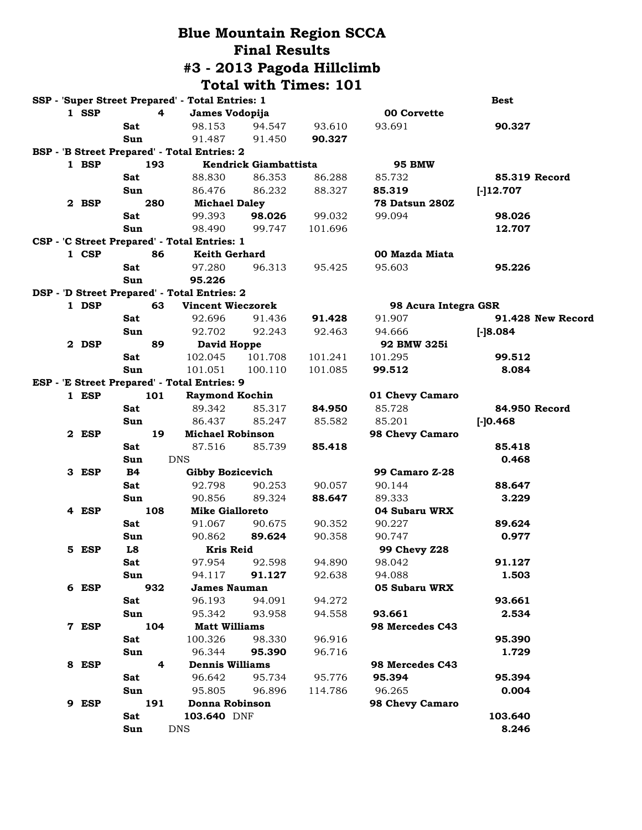|  |       |            |     |                                                  |                       | <b>Blue Mountain Region SCCA</b> |                                 |                   |  |
|--|-------|------------|-----|--------------------------------------------------|-----------------------|----------------------------------|---------------------------------|-------------------|--|
|  |       |            |     |                                                  | <b>Final Results</b>  |                                  |                                 |                   |  |
|  |       |            |     |                                                  |                       | #3 - 2013 Pagoda Hillclimb       |                                 |                   |  |
|  |       |            |     |                                                  |                       |                                  |                                 |                   |  |
|  |       |            |     |                                                  |                       | <b>Total with Times: 101</b>     |                                 |                   |  |
|  |       |            |     | SSP - 'Super Street Prepared' - Total Entries: 1 |                       |                                  |                                 | <b>Best</b>       |  |
|  | 1 SSP |            | 4   | James Vodopija                                   |                       |                                  | 00 Corvette                     |                   |  |
|  |       | Sat        |     | 98.153                                           | 94.547                | 93.610                           | 93.691                          | 90.327            |  |
|  |       | Sun        |     | 91.487                                           | 91.450                | 90.327                           |                                 |                   |  |
|  |       |            |     | BSP - 'B Street Prepared' - Total Entries: 2     |                       |                                  |                                 |                   |  |
|  | 1 BSP |            | 193 |                                                  | Kendrick Giambattista |                                  | <b>95 BMW</b>                   | 85.319 Record     |  |
|  |       | Sat        |     | 88.830                                           | 86.353                | 86.288                           | 85.732                          |                   |  |
|  | 2 BSP | Sun        |     | 86.476                                           | 86.232                | 88.327                           | 85.319                          | $[-]12.707$       |  |
|  |       | Sat        | 280 | <b>Michael Daley</b><br>99.393                   | 98.026                | 99.032                           | <b>78 Datsun 280Z</b><br>99.094 | 98.026            |  |
|  |       | Sun        |     | 98.490                                           | 99.747                | 101.696                          |                                 | 12.707            |  |
|  |       |            |     | CSP - 'C Street Prepared' - Total Entries: 1     |                       |                                  |                                 |                   |  |
|  | 1 CSP |            | 86  | Keith Gerhard                                    |                       |                                  | 00 Mazda Miata                  |                   |  |
|  |       | Sat        |     | 97.280                                           | 96.313                | 95.425                           | 95.603                          | 95.226            |  |
|  |       | Sun        |     | 95.226                                           |                       |                                  |                                 |                   |  |
|  |       |            |     | DSP - 'D Street Prepared' - Total Entries: 2     |                       |                                  |                                 |                   |  |
|  | 1 DSP |            | 63  | <b>Vincent Wieczorek</b>                         |                       |                                  | 98 Acura Integra GSR            |                   |  |
|  |       | Sat        |     | 92.696                                           | 91.436                | 91.428                           | 91.907                          | 91.428 New Record |  |
|  |       | Sun        |     | 92.702                                           | 92.243                | 92.463                           | 94.666                          | $[-]8.084$        |  |
|  | 2 DSP |            | 89  | David Hoppe                                      |                       |                                  | 92 BMW 325i                     |                   |  |
|  |       | Sat        |     | 102.045                                          | 101.708               | 101.241                          | 101.295                         | 99.512            |  |
|  |       | Sun        |     | 101.051                                          | 100.110               | 101.085                          | 99.512                          | 8.084             |  |
|  |       |            |     | ESP - 'E Street Prepared' - Total Entries: 9     |                       |                                  |                                 |                   |  |
|  | 1 ESP |            | 101 | <b>Raymond Kochin</b>                            |                       |                                  | 01 Chevy Camaro                 |                   |  |
|  |       | <b>Sat</b> |     | 89.342                                           | 85.317                | 84.950                           | 85.728                          | 84.950 Record     |  |
|  |       | Sun        |     | 86.437                                           | 85.247                | 85.582                           | 85.201                          | $[-]0.468]$       |  |
|  | 2 ESP |            | 19  | <b>Michael Robinson</b>                          |                       |                                  | 98 Chevy Camaro                 |                   |  |
|  |       | Sat        |     | 87.516                                           | 85.739                | 85.418                           |                                 | 85.418            |  |
|  |       | Sun        |     | <b>DNS</b>                                       |                       |                                  |                                 | 0.468             |  |
|  | 3 ESP | <b>B4</b>  |     | <b>Gibby Bozicevich</b>                          |                       |                                  | <b>99 Camaro Z-28</b>           |                   |  |
|  |       | Sat        |     | 92.798                                           | 90.253                | 90.057                           | 90.144                          | 88.647            |  |
|  |       | Sun        |     | 90.856                                           | 89.324                | 88.647                           | 89.333                          | 3.229             |  |
|  | 4 ESP |            | 108 | <b>Mike Gialloreto</b>                           |                       |                                  | 04 Subaru WRX                   |                   |  |
|  |       | Sat        |     | 91.067                                           | 90.675                | 90.352                           | 90.227                          | 89.624            |  |
|  |       | Sun        |     | 90.862                                           | 89.624                | 90.358                           | 90.747                          | 0.977             |  |
|  | 5 ESP | L8         |     | <b>Kris Reid</b>                                 |                       |                                  | 99 Chevy Z28                    |                   |  |
|  |       | Sat        |     | 97.954                                           | 92.598                | 94.890                           | 98.042                          | 91.127            |  |
|  |       | Sun        |     | 94.117                                           | 91.127                | 92.638                           | 94.088                          | 1.503             |  |
|  | 6 ESP |            | 932 | <b>James Nauman</b>                              |                       |                                  | 05 Subaru WRX                   |                   |  |
|  |       | Sat        |     | 96.193                                           | 94.091                | 94.272                           |                                 | 93.661            |  |
|  |       | Sun        |     | 95.342                                           | 93.958                | 94.558                           | 93.661                          | 2.534             |  |
|  | 7 ESP |            | 104 | <b>Matt Williams</b>                             |                       |                                  | 98 Mercedes C43                 |                   |  |
|  |       | Sat        |     | 100.326                                          | 98.330                | 96.916                           |                                 | 95.390            |  |
|  |       | Sun        |     | 96.344                                           | 95.390                | 96.716                           |                                 | 1.729             |  |
|  | 8 ESP |            | 4   | <b>Dennis Williams</b>                           |                       |                                  | 98 Mercedes C43                 |                   |  |
|  |       | Sat        |     | 96.642                                           | 95.734                | 95.776                           | 95.394                          | 95.394            |  |
|  |       | Sun        |     | 95.805                                           | 96.896                | 114.786                          | 96.265                          | 0.004             |  |
|  | 9 ESP |            | 191 | Donna Robinson                                   |                       |                                  | 98 Chevy Camaro                 |                   |  |
|  |       | Sat        |     | 103.640 DNF                                      |                       |                                  |                                 | 103.640           |  |
|  |       | Sun        |     | <b>DNS</b>                                       |                       |                                  |                                 | 8.246             |  |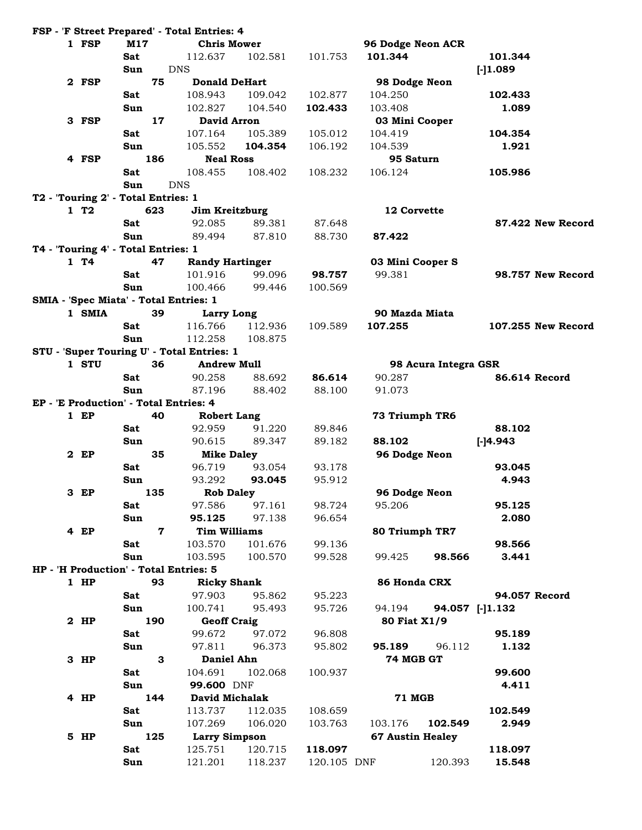| 1 FSP  | M17                                        | <b>Chris Mower</b>     |         |             | 96 Dodge Neon ACR       |                      |                |                    |
|--------|--------------------------------------------|------------------------|---------|-------------|-------------------------|----------------------|----------------|--------------------|
|        | <b>Sat</b>                                 | 112.637                | 102.581 | 101.753     | 101.344                 |                      | 101.344        |                    |
|        | Sun                                        | <b>DNS</b>             |         |             |                         |                      | $[-]1.089$     |                    |
| 2 FSP  | 75                                         | <b>Donald DeHart</b>   |         |             | 98 Dodge Neon           |                      |                |                    |
|        | Sat                                        | 108.943                | 109.042 | 102.877     | 104.250                 |                      | 102.433        |                    |
|        | Sun                                        | 102.827                | 104.540 | 102.433     | 103.408                 |                      | 1.089          |                    |
| 3 FSP  | 17                                         | <b>David Arron</b>     |         |             | 03 Mini Cooper          |                      |                |                    |
|        | <b>Sat</b>                                 | 107.164                | 105.389 | 105.012     | 104.419                 |                      | 104.354        |                    |
|        | Sun                                        | 105.552                | 104.354 | 106.192     | 104.539                 |                      | 1.921          |                    |
| 4 FSP  | 186                                        | <b>Neal Ross</b>       |         |             | 95 Saturn               |                      |                |                    |
|        | <b>Sat</b>                                 | 108.455                | 108.402 | 108.232     | 106.124                 |                      | 105.986        |                    |
|        | Sun                                        | <b>DNS</b>             |         |             |                         |                      |                |                    |
|        | T2 - 'Touring 2' - Total Entries: 1        |                        |         |             |                         |                      |                |                    |
| 1T2    | 623                                        | Jim Kreitzburg         |         |             | 12 Corvette             |                      |                |                    |
|        | Sat                                        | 92.085                 | 89.381  | 87.648      |                         |                      |                | 87.422 New Record  |
|        | Sun                                        | 89.494                 | 87.810  | 88.730      | 87.422                  |                      |                |                    |
|        |                                            |                        |         |             |                         |                      |                |                    |
| 1T4    | T4 - 'Touring 4' - Total Entries: 1<br>47  |                        |         |             |                         |                      |                |                    |
|        |                                            | <b>Randy Hartinger</b> |         |             | 03 Mini Cooper S        |                      |                |                    |
|        | Sat                                        | 101.916                | 99.096  | 98.757      | 99.381                  |                      |                | 98.757 New Record  |
|        | Sun                                        | 100.466                | 99.446  | 100.569     |                         |                      |                |                    |
|        | SMIA - 'Spec Miata' - Total Entries: 1     |                        |         |             |                         |                      |                |                    |
| 1 SMIA | 39                                         | Larry Long             |         |             | 90 Mazda Miata          |                      |                |                    |
|        | Sat                                        | 116.766                | 112.936 | 109.589     | 107.255                 |                      |                | 107.255 New Record |
|        | Sun                                        | 112.258                | 108.875 |             |                         |                      |                |                    |
|        | STU - 'Super Touring U' - Total Entries: 1 |                        |         |             |                         |                      |                |                    |
| 1 STU  | 36                                         | <b>Andrew Mull</b>     |         |             |                         | 98 Acura Integra GSR |                |                    |
|        | Sat                                        | 90.258                 | 88.692  | 86.614      | 90.287                  |                      |                | 86.614 Record      |
|        | Sun                                        | 87.196                 | 88.402  | 88.100      | 91.073                  |                      |                |                    |
|        | EP - 'E Production' - Total Entries: 4     |                        |         |             |                         |                      |                |                    |
| $1$ EP | 40                                         | <b>Robert Lang</b>     |         |             | 73 Triumph TR6          |                      |                |                    |
|        | Sat                                        | 92.959                 | 91.220  | 89.846      |                         |                      | 88.102         |                    |
|        | Sun                                        | 90.615                 | 89.347  | 89.182      | 88.102                  |                      | $[-]4.943$     |                    |
| 2 EP   | 35                                         | <b>Mike Daley</b>      |         |             | 96 Dodge Neon           |                      |                |                    |
|        | Sat                                        | 96.719                 | 93.054  | 93.178      |                         |                      | 93.045         |                    |
|        | Sun                                        | 93.292                 | 93.045  | 95.912      |                         |                      | 4.943          |                    |
| 3 EP   | 135                                        | <b>Rob Daley</b>       |         |             | 96 Dodge Neon           |                      |                |                    |
|        | Sat                                        | 97.586                 | 97.161  | 98.724      | 95.206                  |                      | 95.125         |                    |
|        | Sun                                        | 95.125                 | 97.138  | 96.654      |                         |                      | 2.080          |                    |
| 4 EP   | 7                                          | <b>Tim Williams</b>    |         |             | 80 Triumph TR7          |                      |                |                    |
|        | Sat                                        | 103.570                | 101.676 | 99.136      |                         |                      | 98.566         |                    |
|        | Sun                                        | 103.595                | 100.570 | 99.528      | 99.425                  | 98.566               | 3.441          |                    |
|        | HP - 'H Production' - Total Entries: 5     |                        |         |             |                         |                      |                |                    |
| $1$ HP | 93                                         | <b>Ricky Shank</b>     |         |             | 86 Honda CRX            |                      |                |                    |
|        | Sat                                        | 97.903                 | 95.862  | 95.223      |                         |                      |                | 94.057 Record      |
|        | Sun                                        | 100.741                | 95.493  | 95.726      | 94.194                  |                      | 94.057 [-1.132 |                    |
| 2 HP   | 190                                        | <b>Geoff Craig</b>     |         |             | 80 Fiat X1/9            |                      |                |                    |
|        | Sat                                        | 99.672                 | 97.072  | 96.808      |                         |                      | 95.189         |                    |
|        |                                            |                        |         |             |                         |                      |                |                    |
|        | Sun                                        | 97.811                 | 96.373  | 95.802      | 95.189                  | 96.112               | 1.132          |                    |
| $3$ HP | 3                                          | <b>Daniel Ahn</b>      |         |             | 74 MGB GT               |                      |                |                    |
|        | Sat                                        | 104.691                | 102.068 | 100.937     |                         |                      | 99.600         |                    |
|        | Sun                                        | 99.600 DNF             |         |             |                         |                      | 4.411          |                    |
| 4 HP   | 144                                        | David Michalak         |         |             | <b>71 MGB</b>           |                      |                |                    |
|        | Sat                                        | 113.737                | 112.035 | 108.659     |                         |                      | 102.549        |                    |
|        | Sun                                        | 107.269                | 106.020 | 103.763     | 103.176                 | 102.549              | 2.949          |                    |
| 5 HP   | 125                                        | <b>Larry Simpson</b>   |         |             | <b>67 Austin Healey</b> |                      |                |                    |
|        | Sat                                        | 125.751                | 120.715 | 118.097     |                         |                      | 118.097        |                    |
|        | Sun                                        | 121.201                | 118.237 | 120.105 DNF |                         | 120.393              | 15.548         |                    |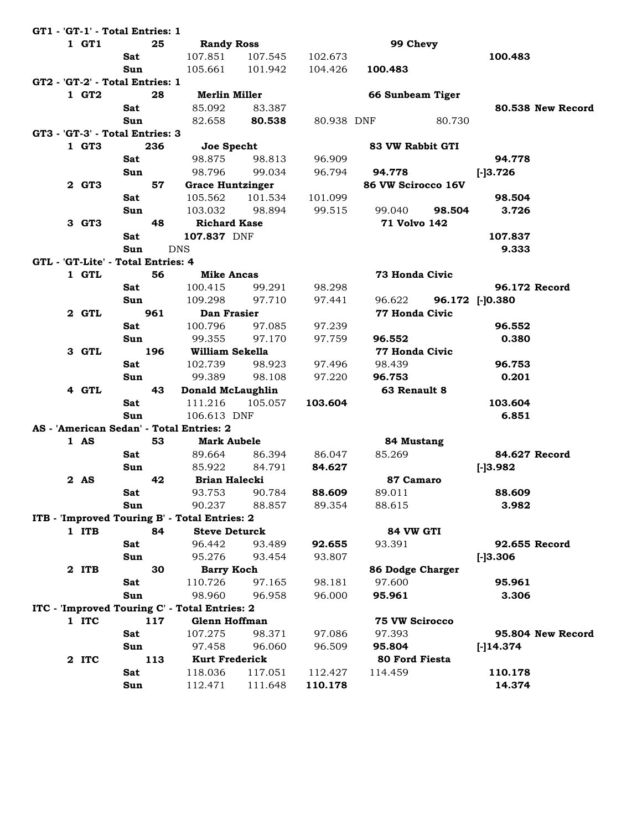|  |       | GT1 - 'GT-1' - Total Entries: 1    |     |                                               |         |            |                       |        |                 |                   |
|--|-------|------------------------------------|-----|-----------------------------------------------|---------|------------|-----------------------|--------|-----------------|-------------------|
|  | 1 GT1 |                                    | 25  | <b>Randy Ross</b>                             |         |            | 99 Chevy              |        |                 |                   |
|  |       | <b>Sat</b>                         |     | 107.851                                       | 107.545 | 102.673    |                       |        | 100.483         |                   |
|  |       | Sun                                |     | 105.661                                       | 101.942 | 104.426    | 100.483               |        |                 |                   |
|  |       | GT2 - 'GT-2' - Total Entries: 1    |     |                                               |         |            |                       |        |                 |                   |
|  | 1 GT2 |                                    | 28  | <b>Merlin Miller</b>                          |         |            | 66 Sunbeam Tiger      |        |                 |                   |
|  |       | <b>Sat</b>                         |     | 85.092                                        | 83.387  |            |                       |        |                 | 80.538 New Record |
|  |       | Sun                                |     | 82.658                                        | 80.538  | 80.938 DNF |                       | 80.730 |                 |                   |
|  |       | GT3 - 'GT-3' - Total Entries: 3    |     |                                               |         |            |                       |        |                 |                   |
|  | 1 GT3 |                                    | 236 | Joe Specht                                    |         |            | 83 VW Rabbit GTI      |        |                 |                   |
|  |       | Sat                                |     | 98.875                                        | 98.813  | 96.909     |                       |        | 94.778          |                   |
|  |       | Sun                                |     | 98.796                                        | 99.034  | 96.794     | 94.778                |        | $[-]3.726$      |                   |
|  | 2 GT3 |                                    | 57  | <b>Grace Huntzinger</b>                       |         |            | 86 VW Scirocco 16V    |        |                 |                   |
|  |       | Sat                                |     | 105.562                                       | 101.534 | 101.099    |                       |        | 98.504          |                   |
|  |       | Sun                                |     | 103.032                                       | 98.894  | 99.515     | 99.040                | 98.504 | 3.726           |                   |
|  | 3 GT3 |                                    | 48  | <b>Richard Kase</b>                           |         |            | 71 Volvo 142          |        |                 |                   |
|  |       | Sat                                |     | 107.837 DNF                                   |         |            |                       |        | 107.837         |                   |
|  |       | Sun                                |     | <b>DNS</b>                                    |         |            |                       |        | 9.333           |                   |
|  |       | GTL - 'GT-Lite' - Total Entries: 4 |     |                                               |         |            |                       |        |                 |                   |
|  | 1 GTL |                                    | 56  | <b>Mike Ancas</b>                             |         |            | <b>73 Honda Civic</b> |        |                 |                   |
|  |       | Sat                                |     | 100.415                                       | 99.291  | 98.298     |                       |        |                 | 96.172 Record     |
|  |       | Sun                                |     | 109.298                                       | 97.710  | 97.441     | 96.622                |        | 96.172 [-]0.380 |                   |
|  | 2 GTL |                                    | 961 | Dan Frasier                                   |         |            | <b>77 Honda Civic</b> |        |                 |                   |
|  |       | Sat                                |     | 100.796                                       | 97.085  | 97.239     |                       |        | 96.552          |                   |
|  |       | Sun                                |     | 99.355                                        | 97.170  | 97.759     | 96.552                |        | 0.380           |                   |
|  | 3 GTL |                                    | 196 | William Sekella                               |         |            | 77 Honda Civic        |        |                 |                   |
|  |       | <b>Sat</b>                         |     | 102.739                                       | 98.923  | 97.496     | 98.439                |        | 96.753          |                   |
|  |       | Sun                                |     | 99.389                                        | 98.108  | 97.220     | 96.753                |        | 0.201           |                   |
|  | 4 GTL |                                    | 43  | Donald McLaughlin                             |         |            | 63 Renault 8          |        |                 |                   |
|  |       | <b>Sat</b>                         |     | 111.216                                       | 105.057 | 103.604    |                       |        | 103.604         |                   |
|  |       | Sun                                |     | 106.613 DNF                                   |         |            |                       |        | 6.851           |                   |
|  |       |                                    |     | AS - 'American Sedan' - Total Entries: 2      |         |            |                       |        |                 |                   |
|  | 1 AS  |                                    | 53  | <b>Mark Aubele</b>                            |         |            | 84 Mustang            |        |                 |                   |
|  |       | <b>Sat</b>                         |     | 89.664                                        | 86.394  | 86.047     | 85.269                |        |                 | 84.627 Record     |
|  |       | Sun                                |     | 85.922                                        | 84.791  | 84.627     |                       |        | $[-]3.982$      |                   |
|  | 2 AS  |                                    | 42  | <b>Brian Halecki</b>                          |         |            | 87 Camaro             |        |                 |                   |
|  |       | Sat                                |     | 93.753                                        | 90.784  | 88.609     | 89.011                |        | 88.609          |                   |
|  |       | Sun                                |     | 90.237                                        | 88.857  | 89.354     | 88.615                |        | 3.982           |                   |
|  |       |                                    |     | ITB - 'Improved Touring B' - Total Entries: 2 |         |            |                       |        |                 |                   |
|  | 1 ITB |                                    | 84  | <b>Steve Deturck</b>                          |         |            | 84 VW GTI             |        |                 |                   |
|  |       | Sat                                |     | 96.442                                        | 93.489  | 92.655     | 93.391                |        |                 | 92.655 Record     |
|  |       | Sun                                |     | 95.276                                        | 93.454  | 93.807     |                       |        | $[-]3.306$      |                   |
|  | 2 ITB |                                    | 30  | <b>Barry Koch</b>                             |         |            | 86 Dodge Charger      |        |                 |                   |
|  |       | Sat                                |     | 110.726                                       | 97.165  | 98.181     | 97.600                |        | 95.961          |                   |
|  |       | Sun                                |     | 98.960                                        | 96.958  | 96.000     | 95.961                |        | 3.306           |                   |
|  |       |                                    |     | ITC - 'Improved Touring C' - Total Entries: 2 |         |            |                       |        |                 |                   |
|  | 1 ITC |                                    | 117 | <b>Glenn Hoffman</b>                          |         |            | <b>75 VW Scirocco</b> |        |                 |                   |
|  |       | Sat                                |     | 107.275                                       | 98.371  | 97.086     | 97.393                |        |                 | 95.804 New Record |
|  |       | Sun                                |     | 97.458                                        | 96.060  | 96.509     | 95.804                |        | $[-]$ 14.374    |                   |
|  | 2 ITC |                                    | 113 | <b>Kurt Frederick</b>                         |         |            | 80 Ford Fiesta        |        |                 |                   |
|  |       | Sat                                |     | 118.036                                       | 117.051 | 112.427    | 114.459               |        | 110.178         |                   |
|  |       | Sun                                |     | 112.471                                       | 111.648 | 110.178    |                       |        | 14.374          |                   |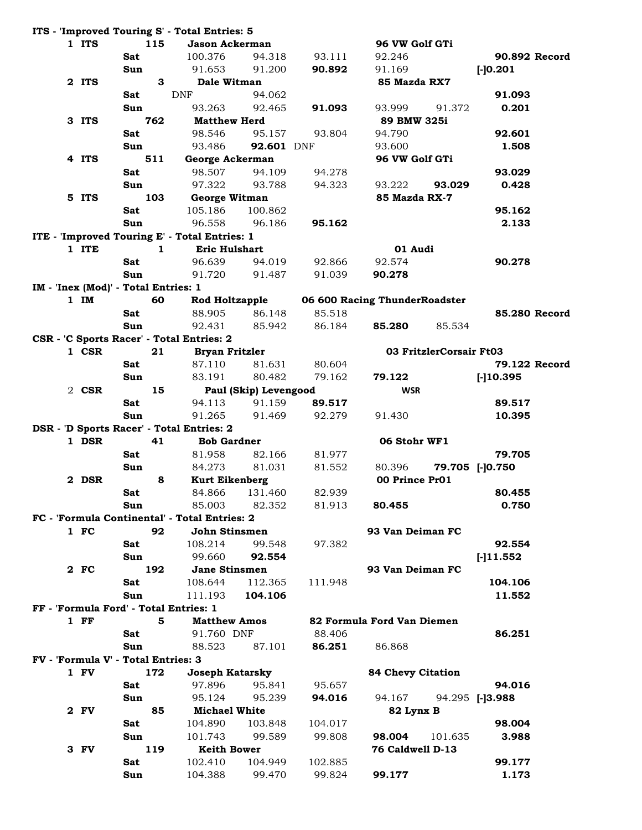|  |        |                                      |             | ITS - 'Improved Touring S' - Total Entries: 5 |                       |         |                               |                 |
|--|--------|--------------------------------------|-------------|-----------------------------------------------|-----------------------|---------|-------------------------------|-----------------|
|  | 1 ITS  |                                      | 115         | <b>Jason Ackerman</b>                         |                       |         | 96 VW Golf GTi                |                 |
|  |        | Sat                                  |             | 100.376                                       | 94.318                | 93.111  | 92.246                        | 90.892 Record   |
|  |        | Sun                                  |             | 91.653                                        | 91.200                | 90.892  | 91.169                        | $[-]0.201$      |
|  | 2 ITS  |                                      | 3           | Dale Witman                                   |                       |         | 85 Mazda RX7                  |                 |
|  |        | Sat                                  |             | <b>DNF</b>                                    | 94.062                |         |                               | 91.093          |
|  |        | Sun                                  |             | 93.263                                        | 92.465                | 91.093  | 93.999<br>91.372              | 0.201           |
|  | 3 ITS  |                                      | 762         | <b>Matthew Herd</b>                           |                       |         | 89 BMW 325i                   |                 |
|  |        | Sat                                  |             | 98.546                                        | 95.157                | 93.804  | 94.790                        | 92.601          |
|  |        | Sun                                  |             | 93.486                                        | 92.601 DNF            |         | 93.600                        | 1.508           |
|  | 4 ITS  |                                      | 511         | George Ackerman                               |                       |         | 96 VW Golf GTi                |                 |
|  |        | Sat                                  |             | 98.507                                        | 94.109                | 94.278  |                               | 93.029          |
|  |        | Sun                                  |             | 97.322                                        | 93.788                | 94.323  | 93.222<br>93.029              | 0.428           |
|  | 5 ITS  |                                      | 103         | George Witman                                 |                       |         | 85 Mazda RX-7                 |                 |
|  |        | Sat                                  |             | 105.186                                       | 100.862               |         |                               | 95.162          |
|  |        | Sun                                  |             | 96.558                                        | 96.186                | 95.162  |                               | 2.133           |
|  |        |                                      |             |                                               |                       |         |                               |                 |
|  | 1 ITE  |                                      | $\mathbf 1$ | ITE - 'Improved Touring E' - Total Entries: 1 |                       |         | 01 Audi                       |                 |
|  |        |                                      |             | <b>Eric Hulshart</b>                          |                       |         |                               |                 |
|  |        | <b>Sat</b>                           |             | 96.639                                        | 94.019                | 92.866  | 92.574                        | 90.278          |
|  |        | Sun                                  |             | 91.720                                        | 91.487                | 91.039  | 90.278                        |                 |
|  |        | IM - 'Inex (Mod)' - Total Entries: 1 |             |                                               |                       |         |                               |                 |
|  | $1$ IM |                                      | 60          | <b>Rod Holtzapple</b>                         |                       |         | 06 600 Racing ThunderRoadster |                 |
|  |        | Sat                                  |             | 88.905                                        | 86.148                | 85.518  |                               | 85.280 Record   |
|  |        | Sun                                  |             | 92.431                                        | 85.942                | 86.184  | 85.280<br>85.534              |                 |
|  |        |                                      |             | CSR - 'C Sports Racer' - Total Entries: 2     |                       |         |                               |                 |
|  | 1 CSR  |                                      | 21          | <b>Bryan Fritzler</b>                         |                       |         | 03 FritzlerCorsair Ft03       |                 |
|  |        | Sat                                  |             | 87.110                                        | 81.631                | 80.604  |                               | 79.122 Record   |
|  |        | Sun                                  |             | 83.191                                        | 80.482                | 79.162  | 79.122                        | $[-]10.395$     |
|  | 2 CSR  |                                      | 15          |                                               | Paul (Skip) Levengood |         | <b>WSR</b>                    |                 |
|  |        | Sat                                  |             | 94.113                                        | 91.159                | 89.517  |                               | 89.517          |
|  |        | Sun                                  |             | 91.265                                        | 91.469                | 92.279  | 91.430                        | 10.395          |
|  |        |                                      |             | DSR - 'D Sports Racer' - Total Entries: 2     |                       |         |                               |                 |
|  | 1 DSR  |                                      | 41          | <b>Bob Gardner</b>                            |                       |         | 06 Stohr WF1                  |                 |
|  |        | Sat                                  |             | 81.958                                        | 82.166                | 81.977  |                               | 79.705          |
|  |        | Sun                                  |             | 84.273                                        | 81.031                | 81.552  | 80.396                        | 79.705 [-]0.750 |
|  | 2 DSR  |                                      | 8           | <b>Kurt Eikenberg</b>                         |                       |         | 00 Prince Pr01                |                 |
|  |        | Sat                                  |             | 84.866                                        | 131.460               | 82.939  |                               | 80.455          |
|  |        | Sun                                  |             | 85.003                                        | 82.352                | 81.913  | 80.455                        | 0.750           |
|  |        |                                      |             | FC - 'Formula Continental' - Total Entries: 2 |                       |         |                               |                 |
|  | 1 F C  |                                      | 92          | John Stinsmen                                 |                       |         | 93 Van Deiman FC              |                 |
|  |        | Sat                                  |             | 108.214                                       | 99.548                | 97.382  |                               | 92.554          |
|  |        | Sun                                  |             | 99.660                                        | 92.554                |         |                               | $[-]11.552$     |
|  | 2 FC   |                                      | 192         | Jane Stinsmen                                 |                       |         | 93 Van Deiman FC              |                 |
|  |        | Sat                                  |             | 108.644                                       | 112.365               |         |                               | 104.106         |
|  |        | Sun                                  |             |                                               | 104.106               | 111.948 |                               | 11.552          |
|  |        |                                      |             | 111.193                                       |                       |         |                               |                 |
|  |        |                                      |             | FF - 'Formula Ford' - Total Entries: 1        |                       |         |                               |                 |
|  | $1$ FF |                                      | 5           | <b>Matthew Amos</b>                           |                       |         | 82 Formula Ford Van Diemen    |                 |
|  |        | Sat                                  |             | 91.760 DNF                                    |                       | 88.406  |                               | 86.251          |
|  |        | Sun                                  |             | 88.523                                        | 87.101                | 86.251  | 86.868                        |                 |
|  |        | FV - 'Formula V' - Total Entries: 3  |             |                                               |                       |         |                               |                 |
|  | 1 FV   |                                      | 172         | <b>Joseph Katarsky</b>                        |                       |         | <b>84 Chevy Citation</b>      |                 |
|  |        | Sat                                  |             | 97.896                                        | 95.841                | 95.657  |                               | 94.016          |
|  |        | Sun                                  |             | 95.124                                        | 95.239                | 94.016  | 94.167                        | 94.295 [-]3.988 |
|  | 2 FV   |                                      | 85          | <b>Michael White</b>                          |                       |         | 82 Lynx B                     |                 |
|  |        | Sat                                  |             | 104.890                                       | 103.848               | 104.017 |                               | 98.004          |
|  |        | Sun                                  |             | 101.743                                       | 99.589                | 99.808  | 98.004<br>101.635             | 3.988           |
|  | 3 FV   |                                      | 119         | <b>Keith Bower</b>                            |                       |         | 76 Caldwell D-13              |                 |
|  |        | Sat                                  |             | 102.410                                       | 104.949               | 102.885 |                               | 99.177          |
|  |        | Sun                                  |             | 104.388                                       | 99.470                | 99.824  | 99.177                        | 1.173           |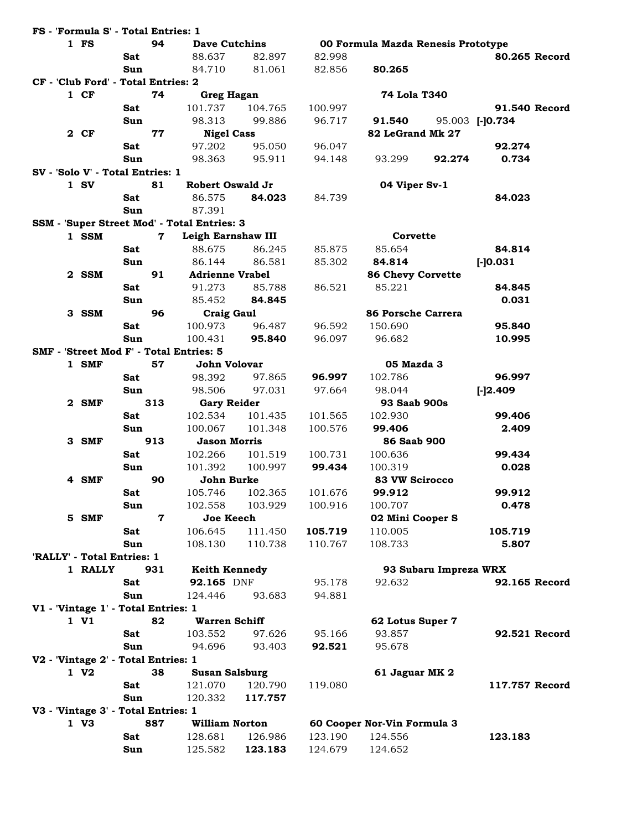|    | FS - 'Formula S' - Total Entries: 1 |            |     |                                             |         |         |                                    |                       |                 |
|----|-------------------------------------|------------|-----|---------------------------------------------|---------|---------|------------------------------------|-----------------------|-----------------|
|    | 1 FS                                |            | 94  | <b>Dave Cutchins</b>                        |         |         | 00 Formula Mazda Renesis Prototype |                       |                 |
|    |                                     | Sat        |     | 88.637                                      | 82.897  | 82.998  |                                    |                       | 80.265 Record   |
|    |                                     | Sun        |     | 84.710                                      | 81.061  | 82.856  | 80.265                             |                       |                 |
|    | CF - 'Club Ford' - Total Entries: 2 |            |     |                                             |         |         |                                    |                       |                 |
|    | $1$ CF                              |            | 74  | <b>Greg Hagan</b>                           |         |         | 74 Lola T340                       |                       |                 |
|    |                                     | Sat        |     | 101.737                                     | 104.765 | 100.997 |                                    |                       | 91.540 Record   |
|    |                                     | Sun        |     | 98.313                                      | 99.886  | 96.717  | 91.540                             |                       | 95.003 [-]0.734 |
|    | 2 CF                                |            | 77  | <b>Nigel Cass</b>                           |         |         | 82 LeGrand Mk 27                   |                       |                 |
|    |                                     | <b>Sat</b> |     | 97.202                                      | 95.050  | 96.047  |                                    |                       | 92.274          |
|    |                                     | Sun        |     | 98.363                                      | 95.911  | 94.148  | 93.299                             | 92.274                | 0.734           |
|    | SV - 'Solo V' - Total Entries: 1    |            |     |                                             |         |         |                                    |                       |                 |
|    | $1$ SV                              |            | 81  | Robert Oswald Jr                            |         |         | 04 Viper Sv-1                      |                       |                 |
|    |                                     | <b>Sat</b> |     | 86.575                                      | 84.023  | 84.739  |                                    |                       | 84.023          |
|    |                                     | Sun        |     | 87.391                                      |         |         |                                    |                       |                 |
|    |                                     |            |     | SSM - 'Super Street Mod' - Total Entries: 3 |         |         |                                    |                       |                 |
|    | 1 SSM                               |            | 7   | Leigh Earnshaw III                          |         |         | Corvette                           |                       |                 |
|    |                                     | <b>Sat</b> |     | 88.675                                      | 86.245  | 85.875  | 85.654                             |                       | 84.814          |
|    |                                     | Sun        |     | 86.144                                      | 86.581  | 85.302  | 84.814                             |                       | $[-]0.031]$     |
|    | 2 SSM                               |            | 91  | <b>Adrienne Vrabel</b>                      |         |         | <b>86 Chevy Corvette</b>           |                       |                 |
|    |                                     | Sat        |     | 91.273                                      | 85.788  | 86.521  | 85.221                             |                       | 84.845          |
|    |                                     | Sun        |     | 85.452                                      | 84.845  |         |                                    |                       | 0.031           |
|    | 3 SSM                               |            | 96  | <b>Craig Gaul</b>                           |         |         | <b>86 Porsche Carrera</b>          |                       |                 |
|    |                                     | Sat        |     | 100.973                                     | 96.487  | 96.592  | 150.690                            |                       | 95.840          |
|    |                                     | Sun        |     | 100.431                                     | 95.840  | 96.097  | 96.682                             |                       | 10.995          |
|    |                                     |            |     | SMF - 'Street Mod F' - Total Entries: 5     |         |         |                                    |                       |                 |
|    | 1 SMF                               |            | 57  | John Volovar                                |         |         | 05 Mazda 3                         |                       |                 |
|    |                                     | Sat        |     | 98.392                                      | 97.865  | 96.997  | 102.786                            |                       | 96.997          |
|    |                                     | Sun        |     | 98.506                                      | 97.031  | 97.664  | 98.044                             |                       | $[-]2.409$      |
| 2. | SMF                                 |            | 313 | <b>Gary Reider</b>                          |         |         | 93 Saab 900s                       |                       |                 |
|    |                                     | Sat        |     | 102.534                                     | 101.435 | 101.565 | 102.930                            |                       | 99.406          |
|    |                                     | Sun        |     | 100.067                                     | 101.348 | 100.576 | 99.406                             |                       | 2.409           |
|    | 3 SMF                               |            | 913 | <b>Jason Morris</b>                         |         |         | <b>86 Saab 900</b>                 |                       |                 |
|    |                                     | Sat        |     | 102.266                                     | 101.519 | 100.731 | 100.636                            |                       | 99.434          |
|    |                                     | Sun        |     | 101.392                                     | 100.997 | 99.434  | 100.319                            |                       | 0.028           |
| 4  | <b>SMF</b>                          |            | 90  | John Burke                                  |         |         | <b>83 VW Scirocco</b>              |                       |                 |
|    |                                     | Sat        |     | 105.746                                     | 102.365 | 101.676 | 99.912                             |                       | 99.912          |
|    |                                     | Sun        |     | 102.558                                     | 103.929 | 100.916 | 100.707                            |                       | 0.478           |
|    | 5 SMF                               |            | 7   | Joe Keech                                   |         |         | 02 Mini Cooper S                   |                       |                 |
|    |                                     | Sat        |     | 106.645                                     | 111.450 | 105.719 | 110.005                            |                       | 105.719         |
|    |                                     | Sun        |     | 108.130                                     | 110.738 | 110.767 | 108.733                            |                       | 5.807           |
|    | 'RALLY' - Total Entries: 1          |            |     |                                             |         |         |                                    |                       |                 |
|    | 1 RALLY                             |            | 931 | <b>Keith Kennedy</b>                        |         |         |                                    | 93 Subaru Impreza WRX |                 |
|    |                                     | <b>Sat</b> |     | 92.165 DNF                                  |         | 95.178  | 92.632                             |                       | 92.165 Record   |
|    |                                     | Sun        |     | 124.446                                     | 93.683  | 94.881  |                                    |                       |                 |
|    | V1 - 'Vintage 1' - Total Entries: 1 |            |     |                                             |         |         |                                    |                       |                 |
|    | 1 V1                                |            | 82  | <b>Warren Schiff</b>                        |         |         | 62 Lotus Super 7                   |                       |                 |
|    |                                     | Sat        |     | 103.552                                     | 97.626  | 95.166  | 93.857                             |                       | 92.521 Record   |
|    |                                     | Sun        |     | 94.696                                      | 93.403  | 92.521  | 95.678                             |                       |                 |
|    | V2 - 'Vintage 2' - Total Entries: 1 |            |     |                                             |         |         |                                    |                       |                 |
|    | 1 V <sub>2</sub>                    |            | 38  | <b>Susan Salsburg</b>                       |         |         | 61 Jaguar MK 2                     |                       |                 |
|    |                                     | Sat        |     | 121.070                                     | 120.790 | 119.080 |                                    |                       | 117.757 Record  |
|    |                                     | Sun        |     | 120.332                                     | 117.757 |         |                                    |                       |                 |
|    | V3 - 'Vintage 3' - Total Entries: 1 |            |     |                                             |         |         |                                    |                       |                 |
|    | 1 V3                                |            | 887 | <b>William Norton</b>                       |         |         | 60 Cooper Nor-Vin Formula 3        |                       |                 |
|    |                                     | Sat        |     | 128.681                                     | 126.986 | 123.190 | 124.556                            |                       | 123.183         |
|    |                                     | Sun        |     | 125.582                                     | 123.183 | 124.679 | 124.652                            |                       |                 |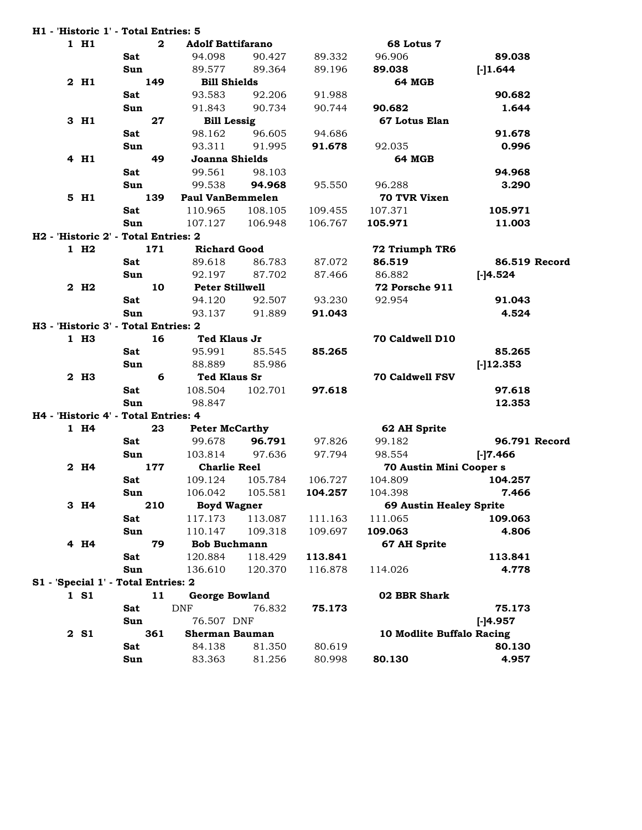|                  | H1 - 'Historic 1' - Total Entries: 5 |                                          |                       |         |                           |               |
|------------------|--------------------------------------|------------------------------------------|-----------------------|---------|---------------------------|---------------|
| 1 H1             |                                      | $\mathbf{2}$<br><b>Adolf Battifarano</b> |                       |         | 68 Lotus 7                |               |
|                  | <b>Sat</b>                           | 94.098                                   | 90.427                | 89.332  | 96.906                    | 89.038        |
|                  | Sun                                  | 89.577                                   | 89.364                | 89.196  | 89.038                    | $[-]1.644$    |
| 2 H1             | 149                                  |                                          | <b>Bill Shields</b>   |         | <b>64 MGB</b>             |               |
|                  | <b>Sat</b>                           | 93.583                                   | 92.206                | 91.988  |                           | 90.682        |
|                  | Sun                                  | 91.843                                   | 90.734                | 90.744  | 90.682                    | 1.644         |
| 3 H1             |                                      | 27                                       | <b>Bill Lessig</b>    |         | 67 Lotus Elan             |               |
|                  | Sat                                  | 98.162                                   | 96.605                | 94.686  |                           | 91.678        |
|                  | Sun                                  | 93.311                                   | 91.995                | 91.678  | 92.035                    | 0.996         |
| 4 H1             |                                      | 49                                       | Joanna Shields        |         | <b>64 MGB</b>             |               |
|                  | Sat                                  | 99.561                                   | 98.103                |         |                           | 94.968        |
|                  | Sun                                  | 99.538                                   | 94.968                | 95.550  | 96.288                    | 3.290         |
| 5 H1             | 139                                  | <b>Paul VanBemmelen</b>                  |                       |         | 70 TVR Vixen              |               |
|                  | <b>Sat</b>                           | 110.965                                  | 108.105               | 109.455 | 107.371                   | 105.971       |
|                  | Sun                                  | 107.127                                  |                       | 106.767 | 105.971                   | 11.003        |
|                  | H2 - 'Historic 2' - Total Entries: 2 |                                          | 106.948               |         |                           |               |
| 1 H <sub>2</sub> |                                      |                                          |                       |         |                           |               |
|                  | 171                                  | <b>Richard Good</b>                      |                       |         | 72 Triumph TR6            |               |
|                  | Sat                                  | 89.618                                   | 86.783                | 87.072  | 86.519                    | 86.519 Record |
|                  | Sun                                  | 92.197                                   | 87.702                | 87.466  | 86.882                    | $[-]4.524$    |
| 2 H <sub>2</sub> |                                      | <b>Peter Stillwell</b><br>10             |                       |         | 72 Porsche 911            |               |
|                  | <b>Sat</b>                           | 94.120                                   | 92.507                | 93.230  | 92.954                    | 91.043        |
|                  | Sun                                  | 93.137                                   | 91.889                | 91.043  |                           | 4.524         |
|                  | H3 - 'Historic 3' - Total Entries: 2 |                                          |                       |         |                           |               |
| 1 H <sub>3</sub> |                                      | 16                                       | Ted Klaus Jr          |         | 70 Caldwell D10           |               |
|                  | Sat                                  | 95.991                                   | 85.545                | 85.265  |                           | 85.265        |
|                  | Sun                                  | 88.889                                   | 85.986                |         |                           | $[-]12.353$   |
| 2 H <sub>3</sub> |                                      | 6                                        | <b>Ted Klaus Sr</b>   |         | <b>70 Caldwell FSV</b>    |               |
|                  | <b>Sat</b>                           | 108.504                                  | 102.701               | 97.618  |                           | 97.618        |
|                  | Sun                                  | 98.847                                   |                       |         |                           | 12.353        |
|                  | H4 - 'Historic 4' - Total Entries: 4 |                                          |                       |         |                           |               |
| 1 H4             |                                      | 23                                       | <b>Peter McCarthy</b> |         | 62 AH Sprite              |               |
|                  | Sat                                  | 99.678                                   | 96.791                | 97.826  | 99.182                    | 96.791 Record |
|                  | Sun                                  | 103.814                                  | 97.636                | 97.794  | 98.554                    | $[-]7.466$    |
| 2 H4             | 177                                  |                                          | <b>Charlie Reel</b>   |         | 70 Austin Mini Coopers    |               |
|                  | Sat                                  | 109.124                                  | 105.784               | 106.727 | 104.809                   | 104.257       |
|                  | Sun                                  | 106.042                                  | 105.581               | 104.257 | 104.398                   | 7.466         |
| 3 H4             | 210                                  |                                          | <b>Boyd Wagner</b>    |         | 69 Austin Healey Sprite   |               |
|                  | <b>Sat</b>                           | 117.173                                  | 113.087               | 111.163 | 111.065                   | 109.063       |
|                  | Sun                                  | 110.147                                  | 109.318               | 109.697 | 109.063                   | 4.806         |
| 4 H4             |                                      | <b>Bob Buchmann</b><br>79                |                       |         | 67 AH Sprite              |               |
|                  | Sat                                  | 120.884                                  | 118.429               | 113.841 |                           | 113.841       |
|                  | Sun                                  | 136.610                                  | 120.370               | 116.878 | 114.026                   | 4.778         |
|                  | S1 - 'Special 1' - Total Entries: 2  |                                          |                       |         |                           |               |
| 1 S1             |                                      | 11                                       | <b>George Bowland</b> |         | 02 BBR Shark              |               |
|                  | Sat                                  | <b>DNF</b>                               | 76.832                | 75.173  |                           | 75.173        |
|                  | Sun                                  | 76.507 DNF                               |                       |         |                           | $[-14.957]$   |
| 2 S <sub>1</sub> | 361                                  |                                          | <b>Sherman Bauman</b> |         | 10 Modlite Buffalo Racing |               |
|                  | Sat                                  | 84.138                                   | 81.350                | 80.619  |                           | 80.130        |
|                  | Sun                                  | 83.363                                   | 81.256                | 80.998  | 80.130                    | 4.957         |
|                  |                                      |                                          |                       |         |                           |               |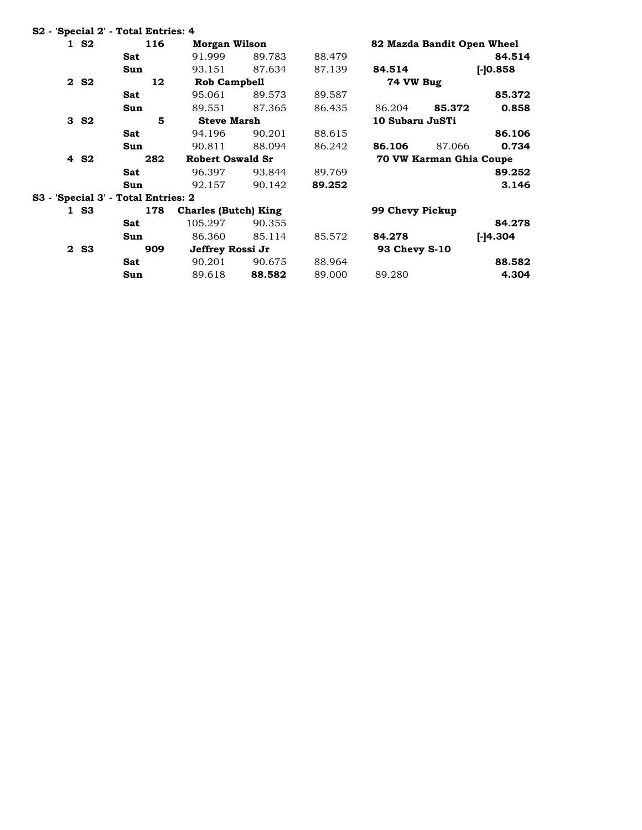|                  | S2 - 'Special 2' - Total Entries: 4 |                             |        |        |                      |                            |             |
|------------------|-------------------------------------|-----------------------------|--------|--------|----------------------|----------------------------|-------------|
| 1 S <sub>2</sub> | 116                                 | Morgan Wilson               |        |        |                      | 82 Mazda Bandit Open Wheel |             |
|                  | Sat                                 | 91.999                      | 89.783 | 88.479 |                      |                            | 84.514      |
|                  | Sun                                 | 93.151                      | 87.634 | 87.139 | 84.514               |                            | $[-]0.858]$ |
| 2 S <sub>2</sub> | 12                                  | <b>Rob Campbell</b>         |        |        | 74 VW Bug            |                            |             |
|                  | Sat                                 | 95.061                      | 89.573 | 89.587 |                      |                            | 85.372      |
|                  | Sun                                 | 89.551                      | 87.365 | 86.435 | 86.204               | 85.372                     | 0.858       |
| 3S2              | 5                                   | <b>Steve Marsh</b>          |        |        | 10 Subaru JuSTi      |                            |             |
|                  | Sat                                 | 94.196                      | 90.201 | 88.615 |                      |                            | 86.106      |
|                  | Sun                                 | 90.811                      | 88.094 | 86.242 | 86.106               | 87.066                     | 0.734       |
| 4 S <sub>2</sub> | 282                                 | <b>Robert Oswald Sr</b>     |        |        |                      | 70 VW Karman Ghia Coupe    |             |
|                  | Sat                                 | 96.397                      | 93.844 | 89.769 |                      |                            | 89.252      |
|                  | Sun                                 | 92.157                      | 90.142 | 89.252 |                      |                            | 3.146       |
|                  | S3 - 'Special 3' - Total Entries: 2 |                             |        |        |                      |                            |             |
| 1 S <sub>3</sub> | 178                                 | <b>Charles (Butch) King</b> |        |        | 99 Chevy Pickup      |                            |             |
|                  | Sat                                 | 105.297                     | 90.355 |        |                      |                            | 84.278      |
|                  | Sun                                 | 86.360                      | 85.114 | 85.572 | 84.278               |                            | $[-]4.304]$ |
| 2 S <sub>3</sub> | 909                                 | Jeffrey Rossi Jr            |        |        | <b>93 Chevy S-10</b> |                            |             |
|                  | <b>Sat</b>                          | 90.201                      | 90.675 | 88.964 |                      |                            | 88.582      |
|                  | Sun                                 | 89.618                      | 88.582 | 89.000 | 89.280               |                            | 4.304       |
|                  |                                     |                             |        |        |                      |                            |             |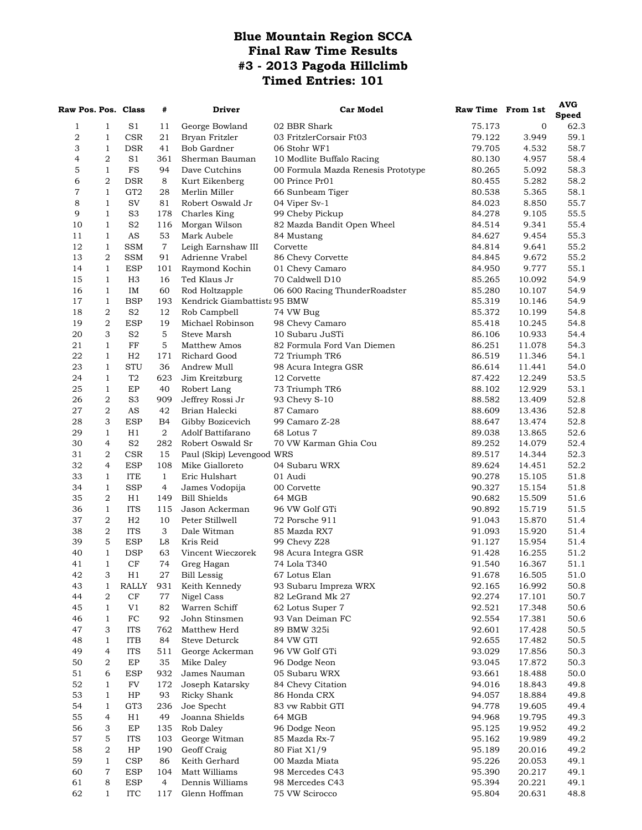## **Blue Mountain Region SCCA Final Raw Time Results #3 - 2013 Pagoda Hillclimb Timed Entries: 101**

| Raw Pos. Pos. Class |                                      |                              | #              | Driver                           | <b>Car Model</b>                        | Raw Time From 1st |                  | AVG          |
|---------------------|--------------------------------------|------------------------------|----------------|----------------------------------|-----------------------------------------|-------------------|------------------|--------------|
|                     |                                      |                              |                |                                  |                                         |                   |                  | <b>Speed</b> |
| 1<br>2              | $\mathbf{1}$<br>$\mathbf{1}$         | S1<br><b>CSR</b>             | 11<br>21       | George Bowland<br>Bryan Fritzler | 02 BBR Shark<br>03 FritzlerCorsair Ft03 | 75.173<br>79.122  | 0<br>3.949       | 62.3<br>59.1 |
| 3                   | 1                                    | <b>DSR</b>                   | 41             | Bob Gardner                      | 06 Stohr WF1                            | 79.705            | 4.532            | 58.7         |
| 4                   | $\overline{2}$                       | S1                           | 361            | Sherman Bauman                   | 10 Modlite Buffalo Racing               | 80.130            | 4.957            | 58.4         |
| 5                   | $\mathbf{1}$                         | $_{\rm FS}$                  | 94             | Dave Cutchins                    | 00 Formula Mazda Renesis Prototype      | 80.265            | 5.092            | 58.3         |
| 6                   | $\sqrt{2}$                           | <b>DSR</b>                   | 8              | Kurt Eikenberg                   | 00 Prince Pr01                          | 80.455            | 5.282            | 58.2         |
| 7                   | $\mathbf{1}$                         | GT <sub>2</sub>              | 28             | Merlin Miller                    | 66 Sunbeam Tiger                        | 80.538            | 5.365            | 58.1         |
| 8                   | $\mathbf{1}$                         | SV                           | 81             | Robert Oswald Jr                 | 04 Viper Sv-1                           | 84.023            | 8.850            | 55.7         |
| 9                   | $\mathbf{1}$                         | S <sub>3</sub>               | 178            | Charles King                     | 99 Cheby Pickup                         | 84.278            | 9.105            | 55.5         |
| 10                  | 1                                    | S <sub>2</sub>               | 116            | Morgan Wilson                    | 82 Mazda Bandit Open Wheel              | 84.514            | 9.341            | 55.4         |
| 11                  | 1                                    | AS                           | 53             | Mark Aubele                      | 84 Mustang                              | 84.627            | 9.454            | 55.3         |
| 12                  | $\mathbf{1}$                         | <b>SSM</b>                   | $\overline{7}$ | Leigh Earnshaw III               | Corvette                                | 84.814            | 9.641            | 55.2         |
| 13                  | $\boldsymbol{2}$                     | <b>SSM</b>                   | 91             | Adrienne Vrabel                  | 86 Chevy Corvette                       | 84.845            | 9.672            | 55.2         |
| 14                  | $\mathbf{1}$                         | <b>ESP</b>                   | 101            | Raymond Kochin                   | 01 Chevy Camaro                         | 84.950            | 9.777            | 55.1         |
| 15                  | $\mathbf{1}$                         | H <sub>3</sub>               | 16             | Ted Klaus Jr                     | 70 Caldwell D10                         | 85.265            | 10.092           | 54.9         |
| 16                  | $\mathbf{1}$                         | IM                           | 60             | Rod Holtzapple                   | 06 600 Racing ThunderRoadster           | 85.280            | 10.107           | 54.9         |
| 17                  | $\mathbf{1}$                         | <b>BSP</b>                   | 193            | Kendrick Giambattista 95 BMW     |                                         | 85.319            | 10.146           | 54.9         |
| 18<br>19            | $\sqrt{2}$<br>$\boldsymbol{2}$       | S <sub>2</sub><br><b>ESP</b> | 12<br>19       | Rob Campbell<br>Michael Robinson | 74 VW Bug                               | 85.372            | 10.199           | 54.8<br>54.8 |
| 20                  | 3                                    | S <sub>2</sub>               | 5              | Steve Marsh                      | 98 Chevy Camaro<br>10 Subaru JuSTi      | 85.418<br>86.106  | 10.245<br>10.933 | 54.4         |
| 21                  | $\mathbf{1}$                         | FF                           | 5              | Matthew Amos                     | 82 Formula Ford Van Diemen              | 86.251            | 11.078           | 54.3         |
| 22                  | $\mathbf{1}$                         | H <sub>2</sub>               | 171            | Richard Good                     | 72 Triumph TR6                          | 86.519            | 11.346           | 54.1         |
| 23                  | $\mathbf{1}$                         | <b>STU</b>                   | 36             | Andrew Mull                      | 98 Acura Integra GSR                    | 86.614            | 11.441           | 54.0         |
| 24                  | $\mathbf{1}$                         | T2                           | 623            | Jim Kreitzburg                   | 12 Corvette                             | 87.422            | 12.249           | 53.5         |
| 25                  | $\mathbf{1}$                         | EP                           | 40             | Robert Lang                      | 73 Triumph TR6                          | 88.102            | 12.929           | 53.1         |
| 26                  | 2                                    | S <sub>3</sub>               | 909            | Jeffrey Rossi Jr                 | 93 Chevy S-10                           | 88.582            | 13.409           | 52.8         |
| 27                  | 2                                    | AS                           | 42             | Brian Halecki                    | 87 Camaro                               | 88.609            | 13.436           | 52.8         |
| 28                  | 3                                    | <b>ESP</b>                   | B4             | Gibby Bozicevich                 | 99 Camaro Z-28                          | 88.647            | 13.474           | 52.8         |
| 29                  | $\mathbf{1}$                         | H1                           | $\overline{a}$ | Adolf Battifarano                | 68 Lotus 7                              | 89.038            | 13.865           | 52.6         |
| 30                  | 4                                    | S <sub>2</sub>               | 282            | Robert Oswald Sr                 | 70 VW Karman Ghia Cou                   | 89.252            | 14.079           | 52.4         |
| 31                  | 2                                    | <b>CSR</b>                   | 15             | Paul (Skip) Levengood WRS        |                                         | 89.517            | 14.344           | 52.3         |
| 32                  | 4                                    | <b>ESP</b>                   | 108            | Mike Gialloreto                  | 04 Subaru WRX                           | 89.624            | 14.451           | 52.2         |
| 33                  | $\mathbf{1}$                         | <b>ITE</b>                   | $\mathbf{1}$   | Eric Hulshart                    | 01 Audi                                 | 90.278            | 15.105           | 51.8         |
| 34                  | $\mathbf{1}$                         | <b>SSP</b>                   | $\overline{4}$ | James Vodopija                   | 00 Corvette                             | 90.327            | 15.154           | 51.8         |
| 35                  | 2                                    | H1                           | 149            | <b>Bill Shields</b>              | 64 MGB                                  | 90.682            | 15.509           | 51.6         |
| 36                  | $\mathbf{1}$                         | <b>ITS</b>                   | 115            | Jason Ackerman                   | 96 VW Golf GTi                          | 90.892            | 15.719           | 51.5         |
| 37<br>38            | $\boldsymbol{2}$<br>$\boldsymbol{2}$ | H <sub>2</sub><br><b>ITS</b> | 10<br>3        | Peter Stillwell<br>Dale Witman   | 72 Porsche 911                          | 91.043<br>91.093  | 15.870<br>15.920 | 51.4<br>51.4 |
| 39                  | 5                                    | <b>ESP</b>                   | L8             | Kris Reid                        | 85 Mazda RX7<br>99 Chevy Z28            | 91.127            | 15.954           | 51.4         |
| 40                  | $\mathbf{1}$                         | <b>DSP</b>                   | 63             | Vincent Wieczorek                | 98 Acura Integra GSR                    | 91.428            | 16.255           | 51.2         |
| 41                  | $\mathbf{1}$                         | $\rm CF$                     | 74             | Greg Hagan                       | 74 Lola T340                            | 91.540            | 16.367           | 51.1         |
| 42                  | 3                                    | H1                           | 27             | <b>Bill Lessig</b>               | 67 Lotus Elan                           | 91.678            | 16.505           | 51.0         |
| 43                  | $\mathbf{1}$                         | <b>RALLY</b>                 | 931            | Keith Kennedy                    | 93 Subaru Impreza WRX                   | 92.165            | 16.992           | 50.8         |
| 44                  | $\sqrt{2}$                           | $\rm CF$                     | 77             | Nigel Cass                       | 82 LeGrand Mk 27                        | 92.274            | 17.101           | 50.7         |
| 45                  | $\mathbf{1}$                         | V1                           | 82             | Warren Schiff                    | 62 Lotus Super 7                        | 92.521            | 17.348           | 50.6         |
| 46                  | $\mathbf{1}$                         | FC                           | 92             | John Stinsmen                    | 93 Van Deiman FC                        | 92.554            | 17.381           | 50.6         |
| 47                  | 3                                    | <b>ITS</b>                   | 762            | Matthew Herd                     | 89 BMW 325i                             | 92.601            | 17.428           | 50.5         |
| 48                  | $\mathbf{1}$                         | <b>ITB</b>                   | 84             | <b>Steve Deturck</b>             | 84 VW GTI                               | 92.655            | 17.482           | 50.5         |
| 49                  | $\overline{4}$                       | <b>ITS</b>                   | 511            | George Ackerman                  | 96 VW Golf GTi                          | 93.029            | 17.856           | 50.3         |
| 50                  | 2                                    | EP                           | 35             | Mike Daley                       | 96 Dodge Neon                           | 93.045            | 17.872           | 50.3         |
| 51                  | 6                                    | <b>ESP</b>                   | 932            | James Nauman                     | 05 Subaru WRX                           | 93.661            | 18.488           | $50.0\,$     |
| 52                  | $\mathbf{1}$                         | FV                           | 172            | Joseph Katarsky                  | 84 Chevy Citation                       | 94.016            | 18.843           | 49.8         |
| 53                  | $\mathbf{1}$                         | HP                           | 93             | Ricky Shank                      | 86 Honda CRX                            | 94.057            | 18.884           | 49.8         |
| 54<br>55            | $\mathbf{1}$<br>$\overline{4}$       | GT <sub>3</sub>              | 236<br>49      | Joe Specht<br>Joanna Shields     | 83 vw Rabbit GTI<br>64 MGB              | 94.778            | 19.605           | 49.4         |
| 56                  | 3                                    | H1<br>EP                     | 135            | Rob Daley                        | 96 Dodge Neon                           | 94.968<br>95.125  | 19.795<br>19.952 | 49.3<br>49.2 |
| 57                  | 5                                    | ITS                          | 103            | George Witman                    | 85 Mazda Rx-7                           | 95.162            | 19.989           | 49.2         |
| 58                  | 2                                    | HP                           | 190            | Geoff Craig                      | 80 Fiat X1/9                            | 95.189            | 20.016           | 49.2         |
| 59                  | $\mathbf{1}$                         | CSP                          | 86             | Keith Gerhard                    | 00 Mazda Miata                          | 95.226            | 20.053           | 49.1         |
| 60                  | 7                                    | ESP                          | 104            | Matt Williams                    | 98 Mercedes C43                         | 95.390            | 20.217           | 49.1         |
| 61                  | 8                                    | <b>ESP</b>                   | 4              | Dennis Williams                  | 98 Mercedes C43                         | 95.394            | 20.221           | 49.1         |
| 62                  | $\mathbf{1}$                         | <b>ITC</b>                   | 117            | Glenn Hoffman                    | 75 VW Scirocco                          | 95.804            | 20.631           | 48.8         |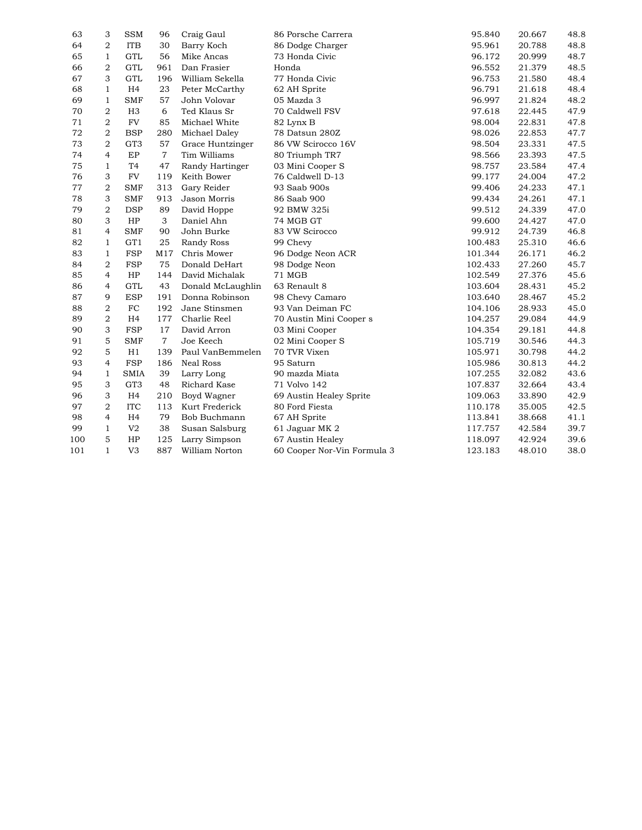| 63  | 3                | <b>SSM</b>      | 96             | Craig Gaul        | 86 Porsche Carrera          | 95.840  | 20.667 | 48.8 |
|-----|------------------|-----------------|----------------|-------------------|-----------------------------|---------|--------|------|
| 64  | $\overline{2}$   | <b>ITB</b>      | 30             | Barry Koch        | 86 Dodge Charger            | 95.961  | 20.788 | 48.8 |
| 65  | $\mathbf{1}$     | GTL             | 56             | Mike Ancas        | 73 Honda Civic              | 96.172  | 20.999 | 48.7 |
| 66  | $\overline{2}$   | GTL             | 961            | Dan Frasier       | Honda                       | 96.552  | 21.379 | 48.5 |
| 67  | 3                | GTL             | 196            | William Sekella   | 77 Honda Civic              | 96.753  | 21.580 | 48.4 |
| 68  | 1                | H <sub>4</sub>  | 23             | Peter McCarthy    | 62 AH Sprite                | 96.791  | 21.618 | 48.4 |
| 69  | $\mathbf{1}$     | <b>SMF</b>      | 57             | John Volovar      | 05 Mazda 3                  | 96.997  | 21.824 | 48.2 |
| 70  | $\overline{2}$   | H <sub>3</sub>  | 6              | Ted Klaus Sr      | 70 Caldwell FSV             | 97.618  | 22.445 | 47.9 |
| 71  | $\overline{2}$   | <b>FV</b>       | 85             | Michael White     | 82 Lynx B                   | 98.004  | 22.831 | 47.8 |
| 72  | $\overline{2}$   | <b>BSP</b>      | 280            | Michael Daley     | 78 Datsun 280Z              | 98.026  | 22.853 | 47.7 |
| 73  | $\boldsymbol{2}$ | GT <sub>3</sub> | 57             | Grace Huntzinger  | 86 VW Scirocco 16V          | 98.504  | 23.331 | 47.5 |
| 74  | $\overline{4}$   | $\rm EP$        | $\overline{7}$ | Tim Williams      | 80 Triumph TR7              | 98.566  | 23.393 | 47.5 |
| 75  | $\mathbf{1}$     | T <sub>4</sub>  | 47             | Randy Hartinger   | 03 Mini Cooper S            | 98.757  | 23.584 | 47.4 |
| 76  | 3                | <b>FV</b>       | 119            | Keith Bower       | 76 Caldwell D-13            | 99.177  | 24.004 | 47.2 |
| 77  | $\overline{2}$   | <b>SMF</b>      | 313            | Gary Reider       | 93 Saab 900s                | 99.406  | 24.233 | 47.1 |
| 78  | 3                | <b>SMF</b>      | 913            | Jason Morris      | 86 Saab 900                 | 99.434  | 24.261 | 47.1 |
| 79  | $\overline{2}$   | <b>DSP</b>      | 89             | David Hoppe       | 92 BMW 325i                 | 99.512  | 24.339 | 47.0 |
| 80  | 3                | HP              | 3              | Daniel Ahn        | 74 MGB GT                   | 99.600  | 24.427 | 47.0 |
| 81  | $\overline{4}$   | <b>SMF</b>      | 90             | John Burke        | 83 VW Scirocco              | 99.912  | 24.739 | 46.8 |
| 82  | 1                | GT1             | 25             | Randy Ross        | 99 Chevy                    | 100.483 | 25.310 | 46.6 |
| 83  | $\mathbf{1}$     | <b>FSP</b>      | M17            | Chris Mower       | 96 Dodge Neon ACR           | 101.344 | 26.171 | 46.2 |
| 84  | $\overline{2}$   | <b>FSP</b>      | 75             | Donald DeHart     | 98 Dodge Neon               | 102.433 | 27.260 | 45.7 |
| 85  | $\overline{4}$   | HP              | 144            | David Michalak    | 71 MGB                      | 102.549 | 27.376 | 45.6 |
| 86  | $\overline{4}$   | <b>GTL</b>      | 43             | Donald McLaughlin | 63 Renault 8                | 103.604 | 28.431 | 45.2 |
| 87  | 9                | <b>ESP</b>      | 191            | Donna Robinson    | 98 Chevy Camaro             | 103.640 | 28.467 | 45.2 |
| 88  | $\overline{2}$   | $_{\rm FC}$     | 192            | Jane Stinsmen     | 93 Van Deiman FC            | 104.106 | 28.933 | 45.0 |
| 89  | $\overline{2}$   | H <sub>4</sub>  | 177            | Charlie Reel      | 70 Austin Mini Cooper s     | 104.257 | 29.084 | 44.9 |
| 90  | 3                | <b>FSP</b>      | 17             | David Arron       | 03 Mini Cooper              | 104.354 | 29.181 | 44.8 |
| 91  | 5                | <b>SMF</b>      | $\overline{7}$ | Joe Keech         | 02 Mini Cooper S            | 105.719 | 30.546 | 44.3 |
| 92  | 5                | H1              | 139            | Paul VanBemmelen  | 70 TVR Vixen                | 105.971 | 30.798 | 44.2 |
| 93  | $\overline{4}$   | <b>FSP</b>      | 186            | <b>Neal Ross</b>  | 95 Saturn                   | 105.986 | 30.813 | 44.2 |
| 94  | $\mathbf{1}$     | <b>SMIA</b>     | 39             | Larry Long        | 90 mazda Miata              | 107.255 | 32.082 | 43.6 |
| 95  | 3                | GT <sub>3</sub> | 48             | Richard Kase      | 71 Volvo 142                | 107.837 | 32.664 | 43.4 |
| 96  | 3                | H <sub>4</sub>  | 210            | Boyd Wagner       | 69 Austin Healey Sprite     | 109.063 | 33.890 | 42.9 |
| 97  | $\overline{2}$   | <b>ITC</b>      | 113            | Kurt Frederick    | 80 Ford Fiesta              | 110.178 | 35.005 | 42.5 |
| 98  | 4                | H <sub>4</sub>  | 79             | Bob Buchmann      | 67 AH Sprite                | 113.841 | 38.668 | 41.1 |
| 99  | $\mathbf{1}$     | V <sub>2</sub>  | 38             | Susan Salsburg    | 61 Jaguar MK 2              | 117.757 | 42.584 | 39.7 |
| 100 | 5                | HP              | 125            | Larry Simpson     | 67 Austin Healey            | 118.097 | 42.924 | 39.6 |
| 101 | $\mathbf{1}$     | V <sub>3</sub>  | 887            | William Norton    | 60 Cooper Nor-Vin Formula 3 | 123.183 | 48.010 | 38.0 |